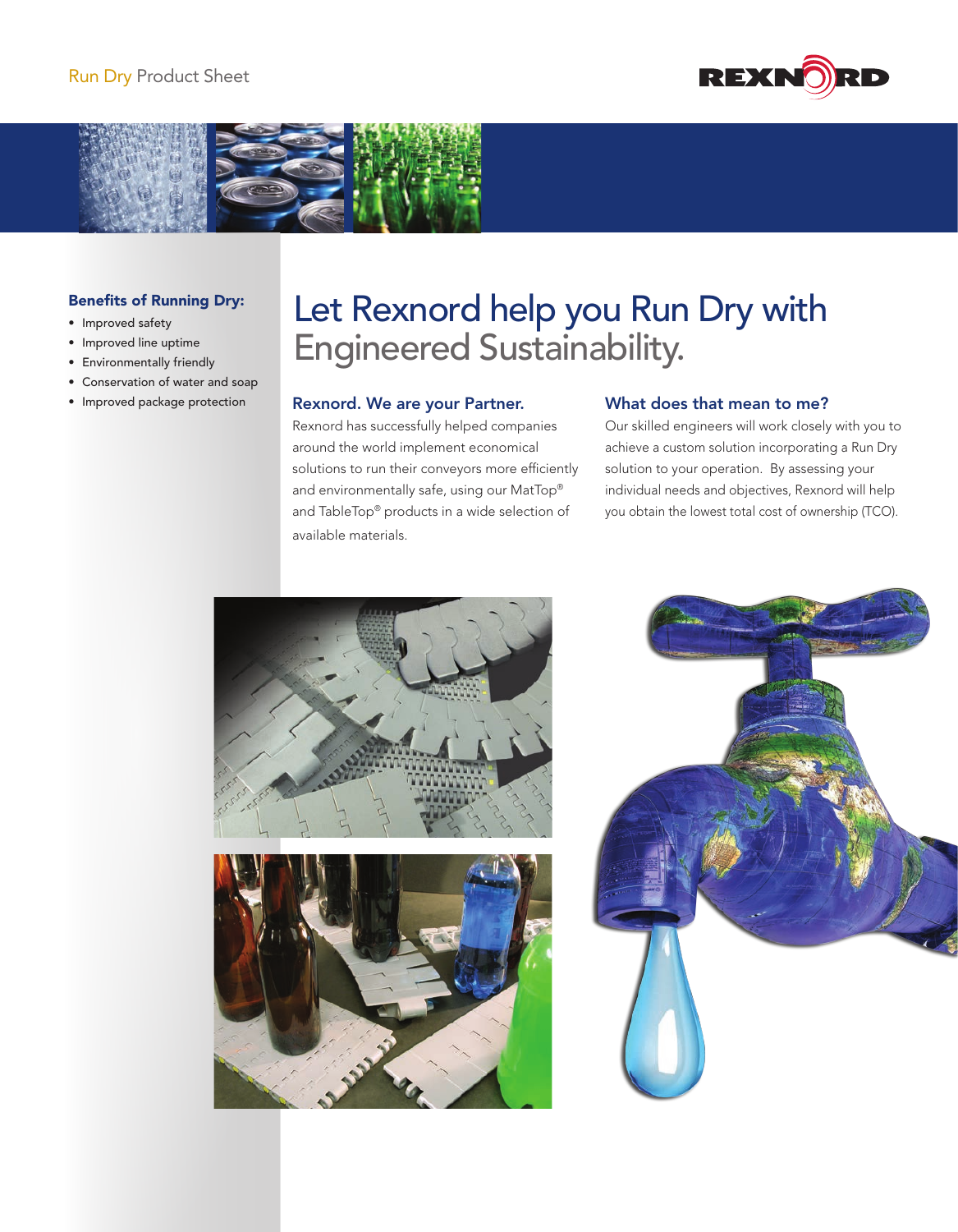



## Benefits of Running Dry:

- • Improved safety
- • Improved line uptime
- • Environmentally friendly
- • Conservation of water and soap
- • Improved package protection

# Let Rexnord help you Run Dry with Engineered Sustainability.

### Rexnord. We are your Partner.

Rexnord has successfully helped companies around the world implement economical solutions to run their conveyors more efficiently and environmentally safe, using our MatTop® and TableTop® products in a wide selection of available materials.

## What does that mean to me?

Our skilled engineers will work closely with you to achieve a custom solution incorporating a Run Dry solution to your operation. By assessing your individual needs and objectives, Rexnord will help you obtain the lowest total cost of ownership (TCO).